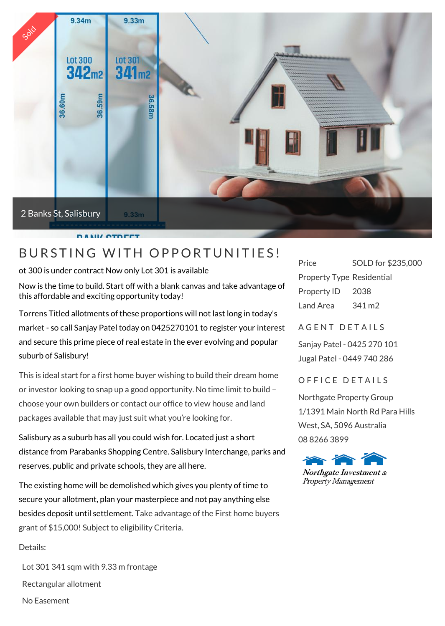

ot 300 is under contract Now only Lot 301 is available

Now is the time to build. Start off with a blank canvas and take advantage of this affordable and exciting opportunity today!

Torrens Titled allotments of these proportions will not last long in today's market - so call Sanjay Patel today on 0425270101 to register your interest and secure this prime piece of real estate in the ever evolving and popular suburb of Salisbury!

This is ideal start for a first home buyer wishing to build their dream home or investor looking to snap up a good opportunity. No time limit to build – choose your own builders or contact our office to view house and land packages available that may just suit what you're looking for.

Salisbury as a suburb has all you could wish for. Located just a short distance from Parabanks Shopping Centre. Salisbury Interchange, parks and reserves, public and private schools, they are all here.

The existing home will be demolished which gives you plenty of time to secure your allotment, plan your masterpiece and not pay anything else besides deposit until settlement. Take advantage of the First home buyers grant of \$15,000! Subject to eligibility Criteria.

Details:

 Lot 301 341 sqm with 9.33 m frontage Rectangular allotment No Easement

SOLD for \$235,000 Property Type Residential Property ID 2038 Land Area 341 m2

A GENT DETAILS

Sanjay Patel - 0425 270 101 Jugal Patel - 0449 740 286

## OFFICE DETAILS

Northgate Property Group 1/1391 Main North Rd Para Hills West, SA, 5096 Australia 08 8266 3899